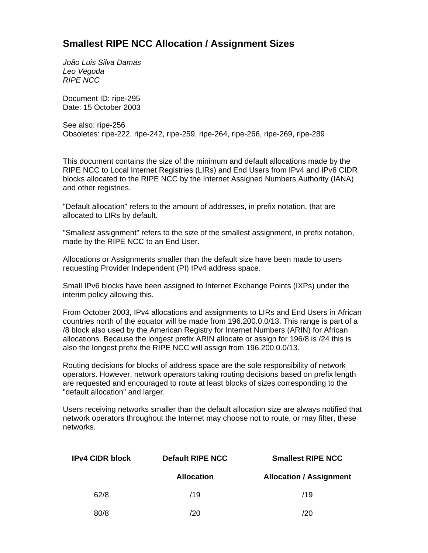## **Smallest RIPE NCC Allocation / Assignment Sizes**

*João Luis Silva Damas Leo Vegoda RIPE NCC*

Document ID: ripe-295 Date: 15 October 2003

See also: ripe-256 Obsoletes: ripe-222, ripe-242, ripe-259, ripe-264, ripe-266, ripe-269, ripe-289

This document contains the size of the minimum and default allocations made by the RIPE NCC to Local Internet Registries (LIRs) and End Users from IPv4 and IPv6 CIDR blocks allocated to the RIPE NCC by the Internet Assigned Numbers Authority (IANA) and other registries.

"Default allocation" refers to the amount of addresses, in prefix notation, that are allocated to LIRs by default.

"Smallest assignment" refers to the size of the smallest assignment, in prefix notation, made by the RIPE NCC to an End User.

Allocations or Assignments smaller than the default size have been made to users requesting Provider Independent (PI) IPv4 address space.

Small IPv6 blocks have been assigned to Internet Exchange Points (IXPs) under the interim policy allowing this.

From October 2003, IPv4 allocations and assignments to LIRs and End Users in African countries north of the equator will be made from 196.200.0.0/13. This range is part of a /8 block also used by the American Registry for Internet Numbers (ARIN) for African allocations. Because the longest prefix ARIN allocate or assign for 196/8 is /24 this is also the longest prefix the RIPE NCC will assign from 196.200.0.0/13.

Routing decisions for blocks of address space are the sole responsibility of network operators. However, network operators taking routing decisions based on prefix length are requested and encouraged to route at least blocks of sizes corresponding to the "default allocation" and larger.

Users receiving networks smaller than the default allocation size are always notified that network operators throughout the Internet may choose not to route, or may filter, these networks.

| <b>IPv4 CIDR block</b> | <b>Default RIPE NCC</b> | <b>Smallest RIPE NCC</b>       |  |
|------------------------|-------------------------|--------------------------------|--|
|                        | <b>Allocation</b>       | <b>Allocation / Assignment</b> |  |
| 62/8                   | /19                     | /19                            |  |
| 80/8                   | /20                     | /20                            |  |